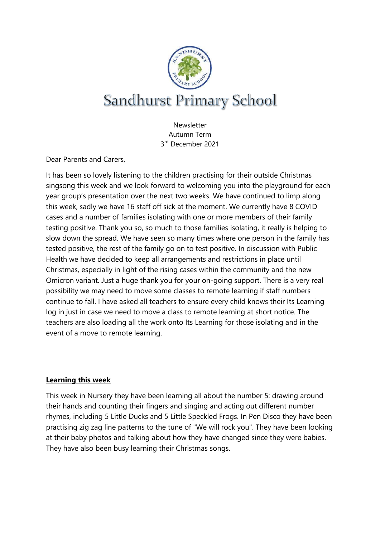

**Newsletter** Autumn Term 3 rd December 2021

Dear Parents and Carers,

It has been so lovely listening to the children practising for their outside Christmas singsong this week and we look forward to welcoming you into the playground for each year group's presentation over the next two weeks. We have continued to limp along this week, sadly we have 16 staff off sick at the moment. We currently have 8 COVID cases and a number of families isolating with one or more members of their family testing positive. Thank you so, so much to those families isolating, it really is helping to slow down the spread. We have seen so many times where one person in the family has tested positive, the rest of the family go on to test positive. In discussion with Public Health we have decided to keep all arrangements and restrictions in place until Christmas, especially in light of the rising cases within the community and the new Omicron variant. Just a huge thank you for your on-going support. There is a very real possibility we may need to move some classes to remote learning if staff numbers continue to fall. I have asked all teachers to ensure every child knows their Its Learning log in just in case we need to move a class to remote learning at short notice. The teachers are also loading all the work onto Its Learning for those isolating and in the event of a move to remote learning.

# **Learning this week**

This week in Nursery they have been learning all about the number 5: drawing around their hands and counting their fingers and singing and acting out different number rhymes, including 5 Little Ducks and 5 Little Speckled Frogs. In Pen Disco they have been practising zig zag line patterns to the tune of "We will rock you". They have been looking at their baby photos and talking about how they have changed since they were babies. They have also been busy learning their Christmas songs.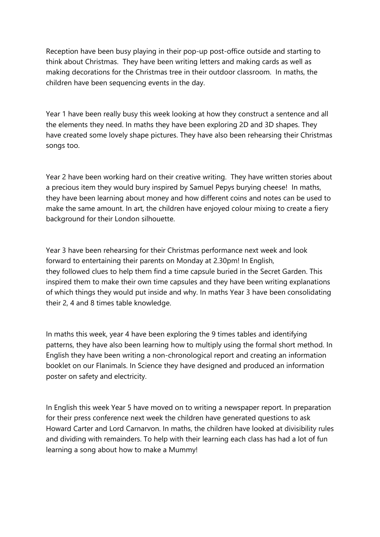Reception have been busy playing in their pop-up post-office outside and starting to think about Christmas. They have been writing letters and making cards as well as making decorations for the Christmas tree in their outdoor classroom. In maths, the children have been sequencing events in the day.

Year 1 have been really busy this week looking at how they construct a sentence and all the elements they need. In maths they have been exploring 2D and 3D shapes. They have created some lovely shape pictures. They have also been rehearsing their Christmas songs too.

Year 2 have been working hard on their creative writing. They have written stories about a precious item they would bury inspired by Samuel Pepys burying cheese! In maths, they have been learning about money and how different coins and notes can be used to make the same amount. In art, the children have enjoyed colour mixing to create a fiery background for their London silhouette.

Year 3 have been rehearsing for their Christmas performance next week and look forward to entertaining their parents on Monday at 2.30pm! In English, they followed clues to help them find a time capsule buried in the Secret Garden. This inspired them to make their own time capsules and they have been writing explanations of which things they would put inside and why. In maths Year 3 have been consolidating their 2, 4 and 8 times table knowledge.

In maths this week, year 4 have been exploring the 9 times tables and identifying patterns, they have also been learning how to multiply using the formal short method. In English they have been writing a non-chronological report and creating an information booklet on our Flanimals. In Science they have designed and produced an information poster on safety and electricity.

In English this week Year 5 have moved on to writing a newspaper report. In preparation for their press conference next week the children have generated questions to ask Howard Carter and Lord Carnarvon. In maths, the children have looked at divisibility rules and dividing with remainders. To help with their learning each class has had a lot of fun learning a song about how to make a Mummy!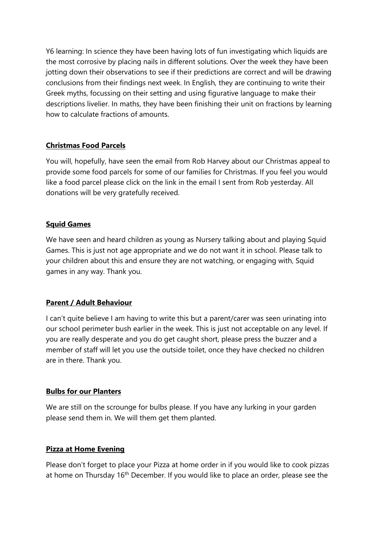Y6 learning: In science they have been having lots of fun investigating which liquids are the most corrosive by placing nails in different solutions. Over the week they have been jotting down their observations to see if their predictions are correct and will be drawing conclusions from their findings next week. In English, they are continuing to write their Greek myths, focussing on their setting and using figurative language to make their descriptions livelier. In maths, they have been finishing their unit on fractions by learning how to calculate fractions of amounts.

# **Christmas Food Parcels**

You will, hopefully, have seen the email from Rob Harvey about our Christmas appeal to provide some food parcels for some of our families for Christmas. If you feel you would like a food parcel please click on the link in the email I sent from Rob yesterday. All donations will be very gratefully received.

# **Squid Games**

We have seen and heard children as young as Nursery talking about and playing Squid Games. This is just not age appropriate and we do not want it in school. Please talk to your children about this and ensure they are not watching, or engaging with, Squid games in any way. Thank you.

# **Parent / Adult Behaviour**

I can't quite believe I am having to write this but a parent/carer was seen urinating into our school perimeter bush earlier in the week. This is just not acceptable on any level. If you are really desperate and you do get caught short, please press the buzzer and a member of staff will let you use the outside toilet, once they have checked no children are in there. Thank you.

# **Bulbs for our Planters**

We are still on the scrounge for bulbs please. If you have any lurking in your garden please send them in. We will them get them planted.

# **Pizza at Home Evening**

Please don't forget to place your Pizza at home order in if you would like to cook pizzas at home on Thursday 16<sup>th</sup> December. If you would like to place an order, please see the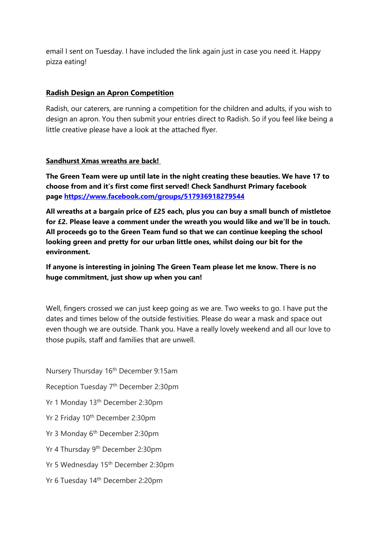email I sent on Tuesday. I have included the link again just in case you need it. Happy pizza eating!

## **Radish Design an Apron Competition**

Radish, our caterers, are running a competition for the children and adults, if you wish to design an apron. You then submit your entries direct to Radish. So if you feel like being a little creative please have a look at the attached flyer.

## **Sandhurst Xmas wreaths are back!**

**The Green Team were up until late in the night creating these beauties. We have 17 to choose from and it's first come first served! Check Sandhurst Primary facebook page <https://www.facebook.com/groups/517936918279544>**

**All wreaths at a bargain price of £25 each, plus you can buy a small bunch of mistletoe for £2. Please leave a comment under the wreath you would like and we'll be in touch. All proceeds go to the Green Team fund so that we can continue keeping the school looking green and pretty for our urban little ones, whilst doing our bit for the environment.**

**If anyone is interesting in joining The Green Team please let me know. There is no huge commitment, just show up when you can!**

Well, fingers crossed we can just keep going as we are. Two weeks to go. I have put the dates and times below of the outside festivities. Please do wear a mask and space out even though we are outside. Thank you. Have a really lovely weekend and all our love to those pupils, staff and families that are unwell.

Nursery Thursday 16th December 9:15am Reception Tuesday 7th December 2:30pm Yr 1 Monday 13<sup>th</sup> December 2:30pm Yr 2 Friday 10<sup>th</sup> December 2:30pm Yr 3 Monday 6th December 2:30pm Yr 4 Thursday 9th December 2:30pm Yr 5 Wednesday 15th December 2:30pm Yr 6 Tuesday 14th December 2:20pm